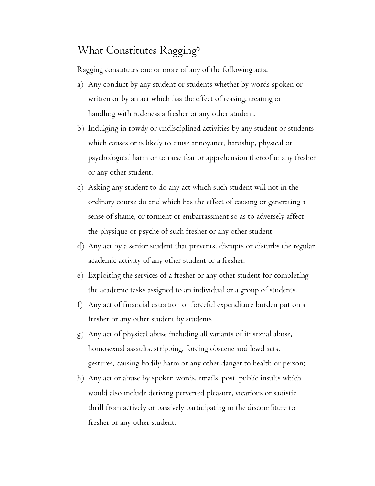## What Constitutes Ragging?

Ragging constitutes one or more of any of the following acts:

- a) Any conduct by any student or students whether by words spoken or written or by an act which has the effect of teasing, treating or handling with rudeness a fresher or any other student.
- b) Indulging in rowdy or undisciplined activities by any student or students which causes or is likely to cause annoyance, hardship, physical or psychological harm or to raise fear or apprehension thereof in any fresher or any other student.
- c) Asking any student to do any act which such student will not in the ordinary course do and which has the effect of causing or generating a sense of shame, or torment or embarrassment so as to adversely affect the physique or psyche of such fresher or any other student.
- d) Any act by a senior student that prevents, disrupts or disturbs the regular academic activity of any other student or a fresher.
- e) Exploiting the services of a fresher or any other student for completing the academic tasks assigned to an individual or a group of students.
- f) Any act of financial extortion or forceful expenditure burden put on a fresher or any other student by students
- g) Any act of physical abuse including all variants of it: sexual abuse, homosexual assaults, stripping, forcing obscene and lewd acts, gestures, causing bodily harm or any other danger to health or person;
- h) Any act or abuse by spoken words, emails, post, public insults which would also include deriving perverted pleasure, vicarious or sadistic thrill from actively or passively participating in the discomfiture to fresher or any other student.